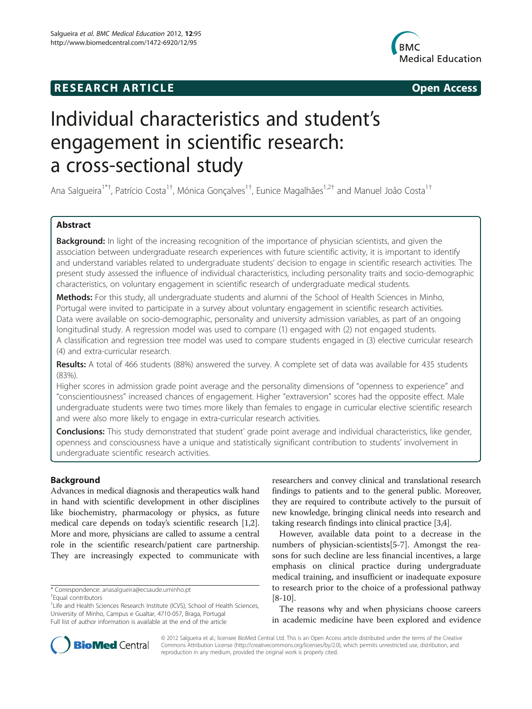## **RESEARCH ARTICLE Example 20 and 20 and 20 and 20 and 20 and 20 and 20 and 20 and 20 and 20 and 20 and 20 and 20 and 20 and 20 and 20 and 20 and 20 and 20 and 20 and 20 and 20 and 20 and 20 and 20 and 20 and 20 and 20 an**



# Individual characteristics and student's engagement in scientific research: a cross-sectional study

Ana Salgueira<sup>1\*†</sup>, Patrício Costa<sup>1†</sup>, Mónica Gonçalves<sup>1†</sup>, Eunice Magalhães<sup>1,2†</sup> and Manuel João Costa<sup>1†</sup>

## Abstract

Background: In light of the increasing recognition of the importance of physician scientists, and given the association between undergraduate research experiences with future scientific activity, it is important to identify and understand variables related to undergraduate students' decision to engage in scientific research activities. The present study assessed the influence of individual characteristics, including personality traits and socio-demographic characteristics, on voluntary engagement in scientific research of undergraduate medical students.

Methods: For this study, all undergraduate students and alumni of the School of Health Sciences in Minho, Portugal were invited to participate in a survey about voluntary engagement in scientific research activities. Data were available on socio-demographic, personality and university admission variables, as part of an ongoing longitudinal study. A regression model was used to compare (1) engaged with (2) not engaged students. A classification and regression tree model was used to compare students engaged in (3) elective curricular research (4) and extra-curricular research.

Results: A total of 466 students (88%) answered the survey. A complete set of data was available for 435 students (83%).

Higher scores in admission grade point average and the personality dimensions of "openness to experience" and "conscientiousness" increased chances of engagement. Higher "extraversion" scores had the opposite effect. Male undergraduate students were two times more likely than females to engage in curricular elective scientific research and were also more likely to engage in extra-curricular research activities.

Conclusions: This study demonstrated that student' grade point average and individual characteristics, like gender, openness and consciousness have a unique and statistically significant contribution to students' involvement in undergraduate scientific research activities.

## Background

Advances in medical diagnosis and therapeutics walk hand in hand with scientific development in other disciplines like biochemistry, pharmacology or physics, as future medical care depends on today's scientific research [[1](#page-7-0),[2](#page-7-0)]. More and more, physicians are called to assume a central role in the scientific research/patient care partnership. They are increasingly expected to communicate with

researchers and convey clinical and translational research findings to patients and to the general public. Moreover, they are required to contribute actively to the pursuit of new knowledge, bringing clinical needs into research and taking research findings into clinical practice [\[3,4\]](#page-7-0).

However, available data point to a decrease in the numbers of physician-scientists[[5-7](#page-7-0)]. Amongst the reasons for such decline are less financial incentives, a large emphasis on clinical practice during undergraduate medical training, and insufficient or inadequate exposure to research prior to the choice of a professional pathway [[8-10](#page-7-0)].

The reasons why and when physicians choose careers in academic medicine have been explored and evidence



© 2012 Salgueira et al.; licensee BioMed Central Ltd. This is an Open Access article distributed under the terms of the Creative Commons Attribution License [\(http://creativecommons.org/licenses/by/2.0\)](http://creativecommons.org/licenses/by/2.0), which permits unrestricted use, distribution, and reproduction in any medium, provided the original work is properly cited.

<sup>\*</sup> Correspondence: [anasalgueira@ecsaude.uminho.pt](mailto:anasalgueira@ecsaude.uminho.pt) †

Equal contributors

<sup>&</sup>lt;sup>1</sup> Life and Health Sciences Research Institute (ICVS), School of Health Sciences, University of Minho, Campus e Gualtar, 4710-057, Braga, Portugal Full list of author information is available at the end of the article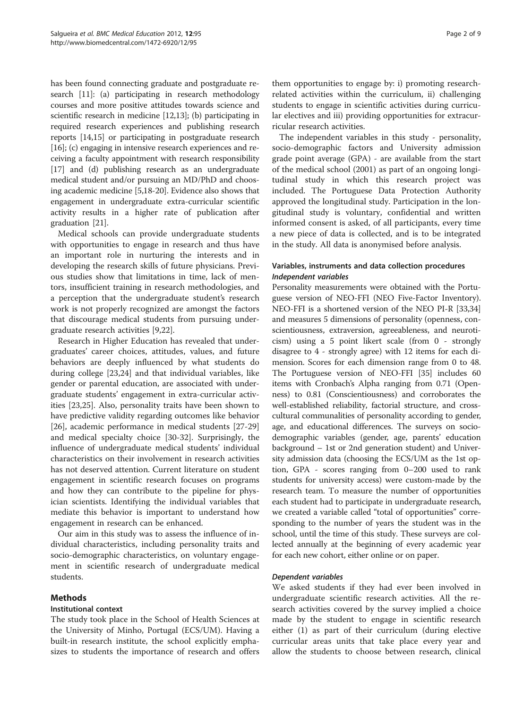has been found connecting graduate and postgraduate research [\[11\]](#page-7-0): (a) participating in research methodology courses and more positive attitudes towards science and scientific research in medicine [\[12,13](#page-7-0)]; (b) participating in required research experiences and publishing research reports [[14,15](#page-7-0)] or participating in postgraduate research [[16](#page-7-0)]; (c) engaging in intensive research experiences and receiving a faculty appointment with research responsibility [[17](#page-7-0)] and (d) publishing research as an undergraduate medical student and/or pursuing an MD/PhD and choosing academic medicine [[5,18](#page-7-0)-[20\]](#page-8-0). Evidence also shows that engagement in undergraduate extra-curricular scientific activity results in a higher rate of publication after graduation [[21](#page-8-0)].

Medical schools can provide undergraduate students with opportunities to engage in research and thus have an important role in nurturing the interests and in developing the research skills of future physicians. Previous studies show that limitations in time, lack of mentors, insufficient training in research methodologies, and a perception that the undergraduate student's research work is not properly recognized are amongst the factors that discourage medical students from pursuing undergraduate research activities [\[9](#page-7-0),[22](#page-8-0)].

Research in Higher Education has revealed that undergraduates' career choices, attitudes, values, and future behaviors are deeply influenced by what students do during college [[23](#page-8-0),[24](#page-8-0)] and that individual variables, like gender or parental education, are associated with undergraduate students' engagement in extra-curricular activities [[23,25\]](#page-8-0). Also, personality traits have been shown to have predictive validity regarding outcomes like behavior [[26\]](#page-8-0), academic performance in medical students [\[27](#page-8-0)-[29](#page-8-0)] and medical specialty choice [[30-32](#page-8-0)]. Surprisingly, the influence of undergraduate medical students' individual characteristics on their involvement in research activities has not deserved attention. Current literature on student engagement in scientific research focuses on programs and how they can contribute to the pipeline for physician scientists. Identifying the individual variables that mediate this behavior is important to understand how engagement in research can be enhanced.

Our aim in this study was to assess the influence of individual characteristics, including personality traits and socio-demographic characteristics, on voluntary engagement in scientific research of undergraduate medical students.

## Methods

## Institutional context

The study took place in the School of Health Sciences at the University of Minho, Portugal (ECS/UM). Having a built-in research institute, the school explicitly emphasizes to students the importance of research and offers

them opportunities to engage by: i) promoting researchrelated activities within the curriculum, ii) challenging students to engage in scientific activities during curricular electives and iii) providing opportunities for extracurricular research activities.

The independent variables in this study - personality, socio-demographic factors and University admission grade point average (GPA) - are available from the start of the medical school (2001) as part of an ongoing longitudinal study in which this research project was included. The Portuguese Data Protection Authority approved the longitudinal study. Participation in the longitudinal study is voluntary, confidential and written informed consent is asked, of all participants, every time a new piece of data is collected, and is to be integrated in the study. All data is anonymised before analysis.

## Variables, instruments and data collection procedures Independent variables

Personality measurements were obtained with the Portuguese version of NEO-FFI (NEO Five-Factor Inventory). NEO-FFI is a shortened version of the NEO PI-R [\[33,34](#page-8-0)] and measures 5 dimensions of personality (openness, conscientiousness, extraversion, agreeableness, and neuroticism) using a 5 point likert scale (from 0 - strongly disagree to 4 - strongly agree) with 12 items for each dimension. Scores for each dimension range from 0 to 48. The Portuguese version of NEO-FFI [\[35](#page-8-0)] includes 60 items with Cronbach's Alpha ranging from 0.71 (Openness) to 0.81 (Conscientiousness) and corroborates the well-established reliability, factorial structure, and crosscultural communalities of personality according to gender, age, and educational differences. The surveys on sociodemographic variables (gender, age, parents' education background – 1st or 2nd generation student) and University admission data (choosing the ECS/UM as the 1st option, GPA - scores ranging from 0–200 used to rank students for university access) were custom-made by the research team. To measure the number of opportunities each student had to participate in undergraduate research, we created a variable called "total of opportunities" corresponding to the number of years the student was in the school, until the time of this study. These surveys are collected annually at the beginning of every academic year for each new cohort, either online or on paper.

## Dependent variables

We asked students if they had ever been involved in undergraduate scientific research activities. All the research activities covered by the survey implied a choice made by the student to engage in scientific research either (1) as part of their curriculum (during elective curricular areas units that take place every year and allow the students to choose between research, clinical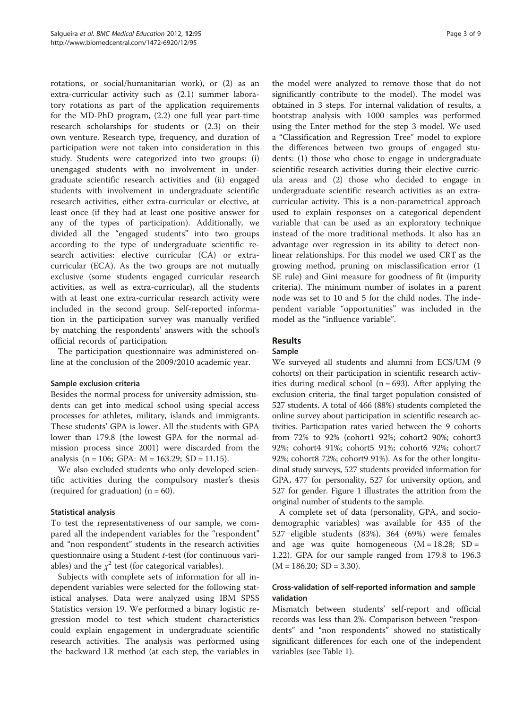rotations, or social/humanitarian work), or (2) as an extra-curricular activity such as (2.1) summer laboratory rotations as part of the application requirements for the MD-PhD program, (2.2) one full year part-time research scholarships for students or (2.3) on their own venture. Research type, frequency, and duration of participation were not taken into consideration in this study. Students were categorized into two groups: (i) unengaged students with no involvement in undergraduate scientific research activities and (ii) engaged students with involvement in undergraduate scientific research activities, either extra-curricular or elective, at least once (if they had at least one positive answer for any of the types of participation). Additionally, we divided all the "engaged students" into two groups according to the type of undergraduate scientific research activities: elective curricular (CA) or extracurricular (ECA). As the two groups are not mutually exclusive (some students engaged curricular research activities, as well as extra-curricular), all the students with at least one extra-curricular research activity were included in the second group. Self-reported information in the participation survey was manually verified by matching the respondents' answers with the school's official records of participation.

The participation questionnaire was administered online at the conclusion of the 2009/2010 academic year.

#### Sample exclusion criteria

Besides the normal process for university admission, students can get into medical school using special access processes for athletes, military, islands and immigrants. These students' GPA is lower. All the students with GPA lower than 179.8 (the lowest GPA for the normal admission process since 2001) were discarded from the analysis (n = 106; GPA:  $M = 163.29$ ; SD = 11.15).

We also excluded students who only developed scientific activities during the compulsory master's thesis (required for graduation)  $(n = 60)$ .

#### Statistical analysis

To test the representativeness of our sample, we compared all the independent variables for the "respondent" and "non respondent" students in the research activities questionnaire using a Student *t*-test (for continuous variables) and the  $\chi^2$  test (for categorical variables).

Subjects with complete sets of information for all independent variables were selected for the following statistical analyses. Data were analyzed using IBM SPSS Statistics version 19. We performed a binary logistic regression model to test which student characteristics could explain engagement in undergraduate scientific research activities. The analysis was performed using the backward LR method (at each step, the variables in

the model were analyzed to remove those that do not significantly contribute to the model). The model was obtained in 3 steps. For internal validation of results, a bootstrap analysis with 1000 samples was performed using the Enter method for the step 3 model. We used a "Classification and Regression Tree" model to explore the differences between two groups of engaged students: (1) those who chose to engage in undergraduate scientific research activities during their elective curricula areas and (2) those who decided to engage in undergraduate scientific research activities as an extracurricular activity. This is a non-parametrical approach used to explain responses on a categorical dependent variable that can be used as an exploratory technique instead of the more traditional methods. It also has an advantage over regression in its ability to detect nonlinear relationships. For this model we used CRT as the growing method, pruning on misclassification error (1 SE rule) and Gini measure for goodness of fit (impurity criteria). The minimum number of isolates in a parent node was set to 10 and 5 for the child nodes. The independent variable "opportunities" was included in the model as the "influence variable".

## Results

#### Sample

We surveyed all students and alumni from ECS/UM (9 cohorts) on their participation in scientific research activities during medical school ( $n = 693$ ). After applying the exclusion criteria, the final target population consisted of 527 students. A total of 466 (88%) students completed the online survey about participation in scientific research activities. Participation rates varied between the 9 cohorts from 72% to 92% (cohort1 92%; cohort2 90%; cohort3 92%; cohort4 91%; cohort5 91%; cohort6 92%; cohort7 92%; cohort8 72%; cohort9 91%). As for the other longitudinal study surveys, 527 students provided information for GPA, 477 for personality, 527 for university option, and 527 for gender. Figure [1](#page-3-0) illustrates the attrition from the original number of students to the sample.

A complete set of data (personality, GPA, and sociodemographic variables) was available for 435 of the 527 eligible students (83%). 364 (69%) were females and age was quite homogeneous  $(M = 18.28; SD =$ 1.22). GPA for our sample ranged from 179.8 to 196.3  $(M = 186.20; SD = 3.30).$ 

## Cross-validation of self-reported information and sample validation

Mismatch between students' self-report and official records was less than 2%. Comparison between "respondents" and "non respondents" showed no statistically significant differences for each one of the independent variables (see Table [1](#page-4-0)).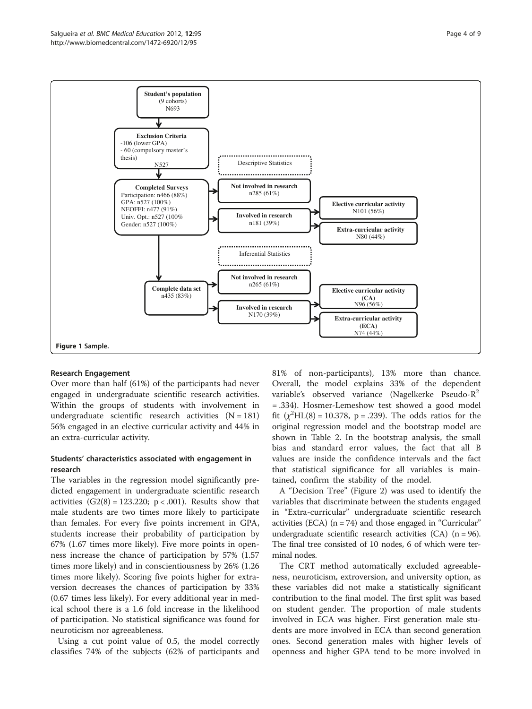<span id="page-3-0"></span>

#### Research Engagement

Over more than half (61%) of the participants had never engaged in undergraduate scientific research activities. Within the groups of students with involvement in undergraduate scientific research activities  $(N = 181)$ 56% engaged in an elective curricular activity and 44% in an extra-curricular activity.

## Students' characteristics associated with engagement in research

The variables in the regression model significantly predicted engagement in undergraduate scientific research activities  $(G2(8) = 123.220; p < .001)$ . Results show that male students are two times more likely to participate than females. For every five points increment in GPA, students increase their probability of participation by 67% (1.67 times more likely). Five more points in openness increase the chance of participation by 57% (1.57 times more likely) and in conscientiousness by 26% (1.26 times more likely). Scoring five points higher for extraversion decreases the chances of participation by 33% (0.67 times less likely). For every additional year in medical school there is a 1.6 fold increase in the likelihood of participation. No statistical significance was found for neuroticism nor agreeableness.

Using a cut point value of 0.5, the model correctly classifies 74% of the subjects (62% of participants and

81% of non-participants), 13% more than chance. Overall, the model explains 33% of the dependent variable's observed variance (Nagelkerke Pseudo- $R^2$ = .334). Hosmer-Lemeshow test showed a good model fit  $(\chi^2HL(8) = 10.378, p = .239)$ . The odds ratios for the original regression model and the bootstrap model are shown in Table [2](#page-5-0). In the bootstrap analysis, the small bias and standard error values, the fact that all B values are inside the confidence intervals and the fact that statistical significance for all variables is maintained, confirm the stability of the model.

A "Decision Tree" (Figure [2\)](#page-6-0) was used to identify the variables that discriminate between the students engaged in "Extra-curricular" undergraduate scientific research activities (ECA)  $(n = 74)$  and those engaged in "Curricular" undergraduate scientific research activities  $(CA)$  (n = 96). The final tree consisted of 10 nodes, 6 of which were terminal nodes.

The CRT method automatically excluded agreeableness, neuroticism, extroversion, and university option, as these variables did not make a statistically significant contribution to the final model. The first split was based on student gender. The proportion of male students involved in ECA was higher. First generation male students are more involved in ECA than second generation ones. Second generation males with higher levels of openness and higher GPA tend to be more involved in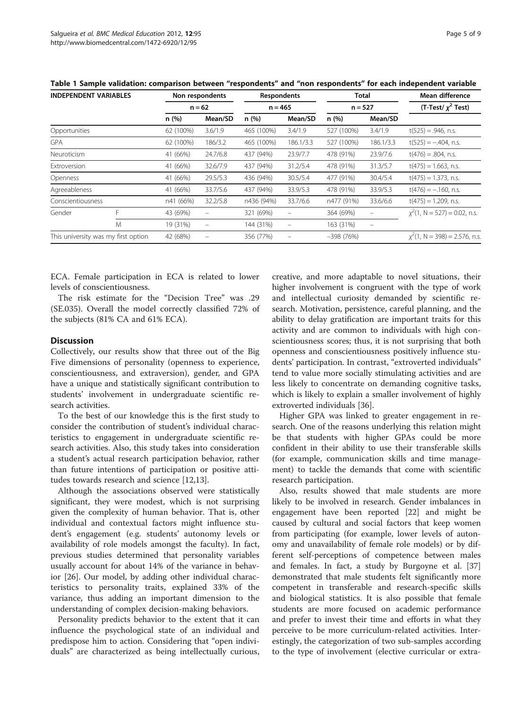| INDEPENDENT VARIABLES               |   | Non respondents<br>$n = 62$ |          | <b>Respondents</b> |           | <b>Total</b> |           | <b>Mean difference</b>           |  |  |
|-------------------------------------|---|-----------------------------|----------|--------------------|-----------|--------------|-----------|----------------------------------|--|--|
|                                     |   |                             |          | $n = 465$          |           | $n = 527$    |           | (T-Test/ $\chi^2$ Test)          |  |  |
|                                     |   | n(%)                        | Mean/SD  | n(%)               | Mean/SD   | n(%)         | Mean/SD   |                                  |  |  |
| Opportunities                       |   | 62 (100%)                   | 3.6/1.9  | 465 (100%)         | 3.4/1.9   | 527 (100%)   | 3.4/1.9   | $t(525) = .946$ , n.s.           |  |  |
| <b>GPA</b>                          |   | 62 (100%)                   | 186/3.2  | 465 (100%)         | 186.1/3.3 | 527 (100%)   | 186.1/3.3 | $t(525) = -.404$ , n.s.          |  |  |
| Neuroticism                         |   | 41 (66%)                    | 24.7/6.8 | 437 (94%)          | 23.9/7.7  | 478 (91%)    | 23.9/7.6  | $t(476) = .804$ , n.s.           |  |  |
| Extroversion                        |   | 41 (66%)                    | 32.6/7.9 | 437 (94%)          | 31.2/5.4  | 478 (91%)    | 31.3/5.7  | $t(475) = 1.663$ , n.s.          |  |  |
| Openness                            |   | 41 (66%)                    | 29.5/5.3 | 436 (94%)          | 30.5/5.4  | 477 (91%)    | 30.4/5.4  | $t(475) = 1.373$ , n.s.          |  |  |
| Agreeableness                       |   | 41 (66%)                    | 33.7/5.6 | 437 (94%)          | 33.9/5.3  | 478 (91%)    | 33.9/5.3  | $t(476) = -.160$ , n.s.          |  |  |
| Conscientiousness                   |   | n41 (66%)                   | 32.2/5.8 | n436 (94%)         | 33.7/6.6  | n477 (91%)   | 33.6/6.6  | $t(475) = 1.209$ , n.s.          |  |  |
| Gender                              | F | 43 (69%)                    |          | 321 (69%)          |           | 364 (69%)    |           | $x^2(1, N = 527) = 0.02$ , n.s.  |  |  |
|                                     | M | 19 (31%)                    |          | 144 (31%)          |           | 163 (31%)    |           |                                  |  |  |
| This university was my first option |   | 42 (68%)                    |          | 356 (77%)          |           | $-398(76%)$  |           | $x^2(1, N = 398) = 2.576$ , n.s. |  |  |

<span id="page-4-0"></span>Table 1 Sample validation: comparison between "respondents" and "non respondents" for each independent variable

ECA. Female participation in ECA is related to lower levels of conscientiousness.

The risk estimate for the "Decision Tree" was .29 (SE.035). Overall the model correctly classified 72% of the subjects (81% CA and 61% ECA).

#### **Discussion**

Collectively, our results show that three out of the Big Five dimensions of personality (openness to experience, conscientiousness, and extraversion), gender, and GPA have a unique and statistically significant contribution to students' involvement in undergraduate scientific research activities.

To the best of our knowledge this is the first study to consider the contribution of student's individual characteristics to engagement in undergraduate scientific research activities. Also, this study takes into consideration a student's actual research participation behavior, rather than future intentions of participation or positive attitudes towards research and science [\[12,13\]](#page-7-0).

Although the associations observed were statistically significant, they were modest, which is not surprising given the complexity of human behavior. That is, other individual and contextual factors might influence student's engagement (e.g. students' autonomy levels or availability of role models amongst the faculty). In fact, previous studies determined that personality variables usually account for about 14% of the variance in behavior [\[26\]](#page-8-0). Our model, by adding other individual characteristics to personality traits, explained 33% of the variance, thus adding an important dimension to the understanding of complex decision-making behaviors.

Personality predicts behavior to the extent that it can influence the psychological state of an individual and predispose him to action. Considering that "open individuals" are characterized as being intellectually curious,

creative, and more adaptable to novel situations, their higher involvement is congruent with the type of work and intellectual curiosity demanded by scientific research. Motivation, persistence, careful planning, and the ability to delay gratification are important traits for this activity and are common to individuals with high conscientiousness scores; thus, it is not surprising that both openness and conscientiousness positively influence students' participation. In contrast, "extroverted individuals" tend to value more socially stimulating activities and are less likely to concentrate on demanding cognitive tasks, which is likely to explain a smaller involvement of highly extroverted individuals [[36\]](#page-8-0).

Higher GPA was linked to greater engagement in research. One of the reasons underlying this relation might be that students with higher GPAs could be more confident in their ability to use their transferable skills (for example, communication skills and time management) to tackle the demands that come with scientific research participation.

Also, results showed that male students are more likely to be involved in research. Gender imbalances in engagement have been reported [[22\]](#page-8-0) and might be caused by cultural and social factors that keep women from participating (for example, lower levels of autonomy and unavailability of female role models) or by different self-perceptions of competence between males and females. In fact, a study by Burgoyne et al. [[37](#page-8-0)] demonstrated that male students felt significantly more competent in transferable and research-specific skills and biological statistics. It is also possible that female students are more focused on academic performance and prefer to invest their time and efforts in what they perceive to be more curriculum-related activities. Interestingly, the categorization of two sub-samples according to the type of involvement (elective curricular or extra-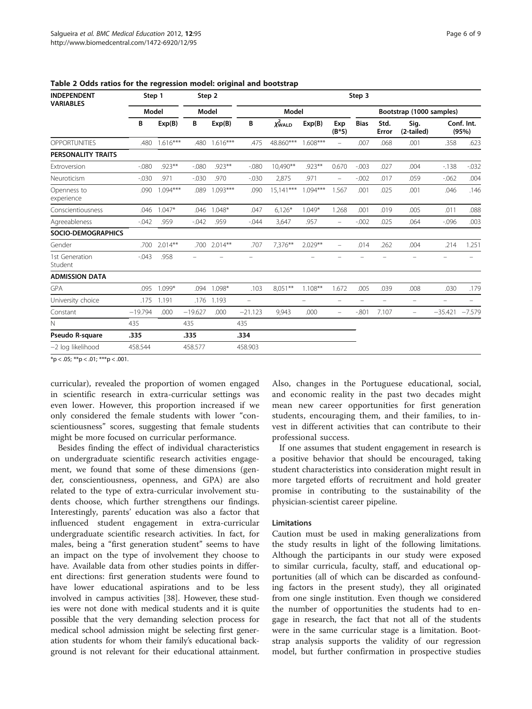| <b>INDEPENDENT</b><br><b>VARIABLES</b> | Step 1<br>Model |            | Step 2    |            | Step 3    |                        |            |                          |             |                          |                          |                          |          |  |
|----------------------------------------|-----------------|------------|-----------|------------|-----------|------------------------|------------|--------------------------|-------------|--------------------------|--------------------------|--------------------------|----------|--|
|                                        |                 |            |           | Model      |           | Model                  |            |                          |             | Bootstrap (1000 samples) |                          |                          |          |  |
|                                        | B               | Exp(B)     | В         | Exp(B)     | В         | $\chi^2_{\text{WALD}}$ | Exp(B)     | Exp<br>$(B*5)$           | <b>Bias</b> | Std.<br>Error            | Sig.<br>(2-tailed)       | Conf. Int.<br>(95%)      |          |  |
| <b>OPPORTUNITIES</b>                   | .480            | $1.616***$ | .480      | $1.616***$ | .475      | 48.860***              | $1.608***$ | $\overline{\phantom{0}}$ | .007        | .068                     | .001                     | .358                     | .623     |  |
| PERSONALITY TRAITS                     |                 |            |           |            |           |                        |            |                          |             |                          |                          |                          |          |  |
| Extroversion                           | $-080$          | .923**     | $-080$    | .923**     | $-080$    | $10,490**$             | .923**     | 0.670                    | $-0.003$    | .027                     | .004                     | $-138$                   | $-0.032$ |  |
| Neuroticism                            | $-0.030$        | .971       | $-0.030$  | .970       | $-0.030$  | 2,875                  | .971       | $\qquad \qquad -$        | $-0.002$    | .017                     | .059                     | $-062$                   | .004     |  |
| Openness to<br>experience              | .090            | $1.094***$ | .089      | $.093***$  | .090      | $15,141***$            | $1.094***$ | 1.567                    | .001        | .025                     | .001                     | .046                     | .146     |  |
| Conscientiousness                      | .046            | $1.047*$   | .046      | $1.048*$   | .047      | $6,126*$               | $1.049*$   | 1.268                    | .001        | .019                     | .005                     | .011                     | .088     |  |
| Agreeableness                          | $-0.042$        | .959       | $-0.042$  | .959       | $-0.044$  | 3,647                  | .957       | $\overline{\phantom{0}}$ | $-0.002$    | .025                     | .064                     | $-0.096$                 | .003     |  |
| <b>SOCIO-DEMOGRAPHICS</b>              |                 |            |           |            |           |                        |            |                          |             |                          |                          |                          |          |  |
| Gender                                 | .700            | $2.014***$ | .700      | $2.014**$  | .707      | 7,376**                | $2.029**$  | $\overline{\phantom{0}}$ | .014        | .262                     | .004                     | .214                     | 1.251    |  |
| 1st Generation<br>Student              | $-0.043$        | .958       |           |            |           |                        |            |                          |             |                          |                          |                          |          |  |
| <b>ADMISSION DATA</b>                  |                 |            |           |            |           |                        |            |                          |             |                          |                          |                          |          |  |
| <b>GPA</b>                             | .095            | 1.099*     | .094      | 1.098*     | .103      | $8,051***$             | $1.108***$ | 1.672                    | .005        | .039                     | .008                     | .030                     | .179     |  |
| University choice                      | .175            | 1.191      |           | .176 1.193 | $\equiv$  |                        | $\equiv$   | $\equiv$                 | $\equiv$    | $\equiv$                 | $\qquad \qquad -$        | $\overline{\phantom{m}}$ |          |  |
| Constant                               | $-19.794$       | .000       | $-19.627$ | .000       | $-21.123$ | 9,943                  | .000       | $\overline{\phantom{0}}$ | $-0.801$    | 7.107                    | $\overline{\phantom{m}}$ | $-35.421$                | $-7.579$ |  |
| $\mathbb N$                            | 435             |            | 435       |            | 435       |                        |            |                          |             |                          |                          |                          |          |  |
| Pseudo R-square                        | .335            |            | .335      |            | .334      |                        |            |                          |             |                          |                          |                          |          |  |
| -2 log likelihood                      | 458.544         |            | 458.577   |            | 458.903   |                        |            |                          |             |                          |                          |                          |          |  |

<span id="page-5-0"></span>Table 2 Odds ratios for the regression model: original and bootstrap

 $*$ p < .05;  $*$  $*$ p < .01;  $*$  $*$  $*$ p < .001.

curricular), revealed the proportion of women engaged in scientific research in extra-curricular settings was even lower. However, this proportion increased if we only considered the female students with lower "conscientiousness" scores, suggesting that female students might be more focused on curricular performance.

Besides finding the effect of individual characteristics on undergraduate scientific research activities engagement, we found that some of these dimensions (gender, conscientiousness, openness, and GPA) are also related to the type of extra-curricular involvement students choose, which further strengthens our findings. Interestingly, parents' education was also a factor that influenced student engagement in extra-curricular undergraduate scientific research activities. In fact, for males, being a "first generation student" seems to have an impact on the type of involvement they choose to have. Available data from other studies points in different directions: first generation students were found to have lower educational aspirations and to be less involved in campus activities [\[38](#page-8-0)]. However, these studies were not done with medical students and it is quite possible that the very demanding selection process for medical school admission might be selecting first generation students for whom their family's educational background is not relevant for their educational attainment. Also, changes in the Portuguese educational, social, and economic reality in the past two decades might mean new career opportunities for first generation students, encouraging them, and their families, to invest in different activities that can contribute to their professional success.

If one assumes that student engagement in research is a positive behavior that should be encouraged, taking student characteristics into consideration might result in more targeted efforts of recruitment and hold greater promise in contributing to the sustainability of the physician-scientist career pipeline.

#### Limitations

Caution must be used in making generalizations from the study results in light of the following limitations. Although the participants in our study were exposed to similar curricula, faculty, staff, and educational opportunities (all of which can be discarded as confounding factors in the present study), they all originated from one single institution. Even though we considered the number of opportunities the students had to engage in research, the fact that not all of the students were in the same curricular stage is a limitation. Bootstrap analysis supports the validity of our regression model, but further confirmation in prospective studies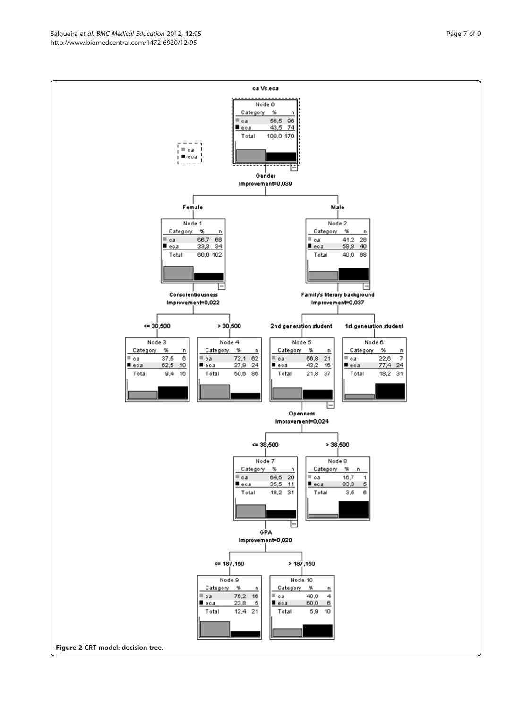<span id="page-6-0"></span>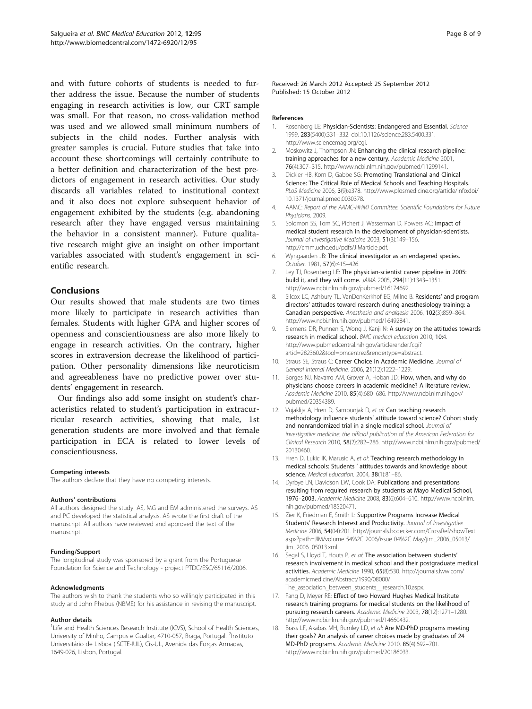<span id="page-7-0"></span>and with future cohorts of students is needed to further address the issue. Because the number of students engaging in research activities is low, our CRT sample was small. For that reason, no cross-validation method was used and we allowed small minimum numbers of subjects in the child nodes. Further analysis with greater samples is crucial. Future studies that take into account these shortcomings will certainly contribute to a better definition and characterization of the best predictors of engagement in research activities. Our study discards all variables related to institutional context and it also does not explore subsequent behavior of engagement exhibited by the students (e.g. abandoning research after they have engaged versus maintaining the behavior in a consistent manner). Future qualitative research might give an insight on other important variables associated with student's engagement in scientific research.

## Conclusions

Our results showed that male students are two times more likely to participate in research activities than females. Students with higher GPA and higher scores of openness and conscientiousness are also more likely to engage in research activities. On the contrary, higher scores in extraversion decrease the likelihood of participation. Other personality dimensions like neuroticism and agreeableness have no predictive power over students' engagement in research.

Our findings also add some insight on student's characteristics related to student's participation in extracurricular research activities, showing that male, 1st generation students are more involved and that female participation in ECA is related to lower levels of conscientiousness.

#### Competing interests

The authors declare that they have no competing interests.

#### Authors' contributions

All authors designed the study. AS, MG and EM administered the surveys. AS and PC developed the statistical analysis. AS wrote the first draft of the manuscript. All authors have reviewed and approved the text of the manuscript.

#### Funding/Support

The longitudinal study was sponsored by a grant from the Portuguese Foundation for Science and Technology - project PTDC/ESC/65116/2006.

#### Acknowledgments

The authors wish to thank the students who so willingly participated in this study and John Phebus (NBME) for his assistance in revising the manuscript.

#### Author details

<sup>1</sup> Life and Health Sciences Research Institute (ICVS), School of Health Sciences, University of Minho, Campus e Gualtar, 4710-057, Braga, Portugal. <sup>2</sup>Instituto Universitário de Lisboa (ISCTE-IUL), Cis-UL, Avenida das Forças Armadas, 1649-026, Lisbon, Portugal.

Received: 26 March 2012 Accepted: 25 September 2012 Published: 15 October 2012

#### References

- 1. Rosenberg LE: Physician-Scientists: Endangered and Essential. Science 1999, 283(5400):331–332. doi:[10.1126/science.283.5400.331.](http://dx.doi.org/10.1126/science.283.5400.331) [http://www.sciencemag.org/cgi.](http://www.sciencemag.org/cgi)
- 2. Moskowitz J, Thompson JN: Enhancing the clinical research pipeline: training approaches for a new century. Academic Medicine 2001, 76(4):307–315. [http://www.ncbi.nlm.nih.gov/pubmed/11299141.](http://www.ncbi.nlm.nih.gov/pubmed/11299141)
- 3. Dickler HB, Korn D, Gabbe SG: Promoting Translational and Clinical Science: The Critical Role of Medical Schools and Teaching Hospitals. PLoS Medicine 2006, 3(9):e378. [http://www.plosmedicine.org/article/info:doi/](http://www.plosmedicine.org/article/info:doi/10.1371/journal.pmed.0030378) [10.1371/journal.pmed.0030378.](http://www.plosmedicine.org/article/info:doi/10.1371/journal.pmed.0030378)
- 4. AAMC: Report of the AAMC-HHMI Committee. Scientific Foundations for Future Physicians. 2009.
- 5. Solomon SS, Tom SC, Pichert J, Wasserman D, Powers AC: Impact of medical student research in the development of physician-scientists. Journal of Investigative Medicine 2003, 51(3):149–156. [http://cmm.uchc.edu/pdfs/JIMarticle.pdf.](http://cmm.uchc.edu/pdfs/JIMarticle.pdf)
- 6. Wyngaarden JB: The clinical investigator as an endagered species. October. 1981, 57(6):415–426.
- 7. Ley TJ, Rosenberg LE: The physician-scientist career pipeline in 2005: build it, and they will come. JAMA 2005, 294(11):1343–1351. [http://www.ncbi.nlm.nih.gov/pubmed/16174692.](http://www.ncbi.nlm.nih.gov/pubmed/16174692)
- 8. Silcox LC, Ashbury TL, VanDenKerkhof EG, Milne B: Residents' and program directors' attitudes toward research during anesthesiology training: a Canadian perspective. Anesthesia and analgesia 2006, 102(3):859–864. [http://www.ncbi.nlm.nih.gov/pubmed/16492841.](http://www.ncbi.nlm.nih.gov/pubmed/16492841)
- 9. Siemens DR, Punnen S, Wong J, Kanji N: A survey on the attitudes towards research in medical school. BMC medical education 2010, 10:4. [http://www.pubmedcentral.nih.gov/articlerender.fcgi?](http://www.pubmedcentral.nih.gov/articlerender.fcgi?artid=2823602&tool=pmcentrez&rendertype=abstract) [artid=2823602&tool=pmcentrez&rendertype=abstract.](http://www.pubmedcentral.nih.gov/articlerender.fcgi?artid=2823602&tool=pmcentrez&rendertype=abstract)
- 10. Straus SE, Straus C: Career Choice in Academic Medicine. Journal of General Internal Medicine. 2006, 21(12):1222–1229.
- 11. Borges NJ, Navarro AM, Grover A, Hoban JD: How, when, and why do physicians choose careers in academic medicine? A literature review. Academic Medicine 2010, 85(4):680–686. [http://www.ncbi.nlm.nih.gov/](http://www.ncbi.nlm.nih.gov/pubmed/20354389) [pubmed/20354389.](http://www.ncbi.nlm.nih.gov/pubmed/20354389)
- 12. Vujaklija A, Hren D, Sambunjak D, et al: Can teaching research methodology influence students' attitude toward science? Cohort study and nonrandomized trial in a single medical school. Journal of investigative medicine: the official publication of the American Federation for Clinical Research 2010, 58(2):282–286. [http://www.ncbi.nlm.nih.gov/pubmed/](http://www.ncbi.nlm.nih.gov/pubmed/20130460) [20130460](http://www.ncbi.nlm.nih.gov/pubmed/20130460).
- 13. Hren D, Lukic IK, Marusic A, et al: Teaching research methodology in medical schools: Students ' attitudes towards and knowledge about science. Medical Education. 2004, 38(1):81-86.
- 14. Dyrbye LN, Davidson LW, Cook DA: Publications and presentations resulting from required research by students at Mayo Medical School, 1976–2003. Academic Medicine 2008, 83(6):604–610. [http://www.ncbi.nlm.](http://www.ncbi.nlm.nih.gov/pubmed/18520471) [nih.gov/pubmed/18520471](http://www.ncbi.nlm.nih.gov/pubmed/18520471).
- 15. Zier K, Friedman E, Smith L: Supportive Programs Increase Medical Students' Research Interest and Productivity. Journal of Investigative Medicine 2006, 54(04):201. [http://journals.bcdecker.com/CrossRef/showText.](http://journals.bcdecker.com/CrossRef/showText.aspx?path=JIM/volume) [aspx?path=JIM/volume](http://journals.bcdecker.com/CrossRef/showText.aspx?path=JIM/volume) 54%2C 2006/issue 04%2C May/jim\_2006\_05013/ jim\_2006\_05013.xml.
- 16. Segal S, Lloyd T, Houts P, et al: The association between students' research involvement in medical school and their postgraduate medical activities. Academic Medicine 1990, 65(8):530. [http://journals.lww.com/](http://journals.lww.com/academicmedicine/Abstract/1990/08000/The_association_between_students__research.10.aspx) [academicmedicine/Abstract/1990/08000/](http://journals.lww.com/academicmedicine/Abstract/1990/08000/The_association_between_students__research.10.aspx) [The\\_association\\_between\\_students\\_\\_research.10.aspx](http://journals.lww.com/academicmedicine/Abstract/1990/08000/The_association_between_students__research.10.aspx).
- 17. Fang D, Meyer RE: Effect of two Howard Hughes Medical Institute research training programs for medical students on the likelihood of pursuing research careers. Academic Medicine 2003, 78(12):1271–1280. [http://www.ncbi.nlm.nih.gov/pubmed/14660432.](http://www.ncbi.nlm.nih.gov/pubmed/14660432)
- 18. Brass LF, Akabas MH, Burnley LD, et al: Are MD-PhD programs meeting their goals? An analysis of career choices made by graduates of 24 MD-PhD programs. Academic Medicine 2010, 85(4):692–701. [http://www.ncbi.nlm.nih.gov/pubmed/20186033.](http://www.ncbi.nlm.nih.gov/pubmed/20186033)